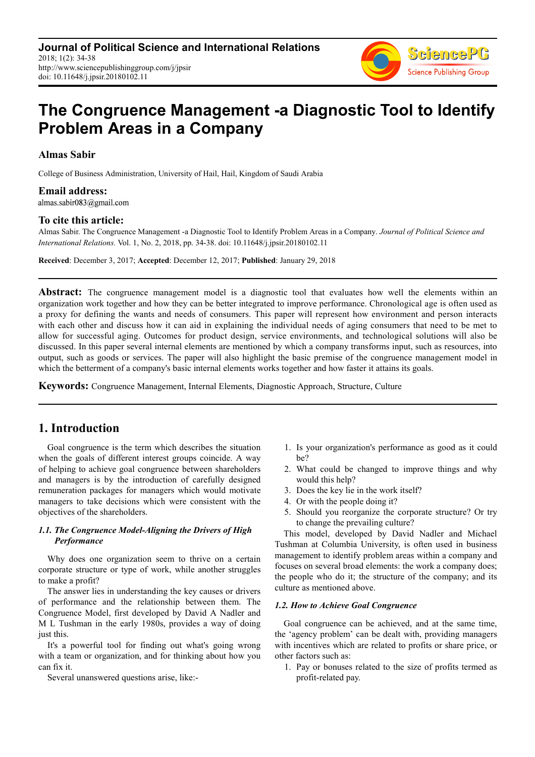**Journal of Political Science and International Relations** 2018; 1(2): 34-38 http://www.sciencepublishinggroup.com/j/jpsir doi: 10.11648/j.jpsir.20180102.11



# **The Congruence Management -a Diagnostic Tool to Identify Problem Areas in a Company**

## **Almas Sabir**

College of Business Administration, University of Hail, Hail, Kingdom of Saudi Arabia

**Email address:**<br>almas.sabir083@gmail.com

#### **To cite this article:**

Almas Sabir. The Congruence Management -a Diagnostic Tool to Identify Problem Areas in a Company. *Journal of Political Science and International Relations.* Vol. 1, No. 2, 2018, pp. 34-38. doi: 10.11648/j.jpsir.20180102.11

**Received**: December 3, 2017; **Accepted**: December 12, 2017; **Published**: January 29, 2018

Abstract: The congruence management model is a diagnostic tool that evaluates how well the elements within an organization work together and how they can be better integrated to improve performance. Chronological age is often used as a proxy for defining the wants and needs of consumers. This paper will represent how environment and person interacts with each other and discuss how it can aid in explaining the individual needs of aging consumers that need to be met to allow for successful aging. Outcomes for product design, service environments, and technological solutions will also be discussed. In this paper several internal elements are mentioned by which a company transforms input, such as resources, into output, such as goods or services. The paper will also highlight the basic premise of the congruence management model in which the betterment of a company's basic internal elements works together and how faster it attains its goals.

**Keywords:** Congruence Management, Internal Elements, Diagnostic Approach, Structure, Culture

## **1. Introduction**

Goal congruence is the term which describes the situation when the goals of different interest groups coincide. A way of helping to achieve goal congruence between shareholders and managers is by the introduction of carefully designed remuneration packages for managers which would motivate managers to take decisions which were consistent with the objectives of the shareholders.

### *1.1. The Congruence Model-Aligning the Drivers of High Performance*

Why does one organization seem to thrive on a certain corporate structure or type of work, while another struggles to make a profit?

The answer lies in understanding the key causes or drivers of performance and the relationship between them. The Congruence Model, first developed by David A Nadler and M L Tushman in the early 1980s, provides a way of doing just this.

It's a powerful tool for finding out what's going wrong with a team or organization, and for thinking about how you can fix it.

Several unanswered questions arise, like:-

- 1. Is your organization's performance as good as it could be?
- 2. What could be changed to improve things and why would this help?
- 3. Does the key lie in the work itself?
- 4. Or with the people doing it?
- 5. Should you reorganize the corporate structure? Or try to change the prevailing culture?

This model, developed by David Nadler and Michael Tushman at Columbia University, is often used in business management to identify problem areas within a company and focuses on several broad elements: the work a company does; the people who do it; the structure of the company; and its culture as mentioned above.

#### *1.2. How to Achieve Goal Congruence*

Goal congruence can be achieved, and at the same time, the 'agency problem' can be dealt with, providing managers with incentives which are related to profits or share price, or other factors such as:

1. Pay or bonuses related to the size of profits termed as profit-related pay.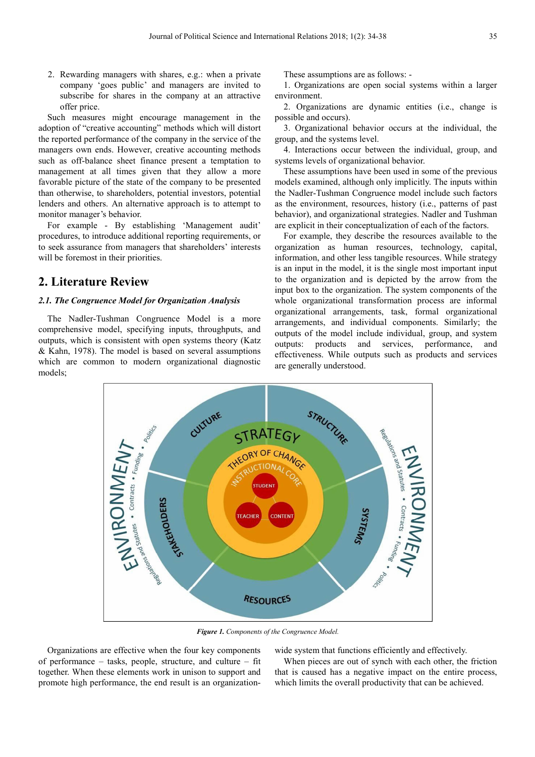2. Rewarding managers with shares, e.g.: when a private company 'goes public' and managers are invited to subscribe for shares in the company at an attractive offer price.

Such measures might encourage management in the adoption of "creative accounting" methods which will distort the reported performance of the company in the service of the managers own ends. However, creative accounting methods such as off-balance sheet finance present a temptation to management at all times given that they allow a more favorable picture of the state of the company to be presented than otherwise, to shareholders, potential investors, potential lenders and others. An alternative approach is to attempt to monitor manager's behavior.

For example - By establishing 'Management audit' procedures, to introduce additional reporting requirements, or to seek assurance from managers that shareholders' interests will be foremost in their priorities.

## **2. Literature Review**

### *2.1. The Congruence Model for Organization Analysis*

The Nadler-Tushman Congruence Model is a more comprehensive model, specifying inputs, throughputs, and outputs, which is consistent with open systems theory (Katz & Kahn, 1978). The model is based on several assumptions which are common to modern organizational diagnostic models;

These assumptions are as follows: -

1. Organizations are open social systems within a larger environment.

2. Organizations are dynamic entities (i.e., change is possible and occurs).

3. Organizational behavior occurs at the individual, the group, and the systems level.

4. Interactions occur between the individual, group, and systems levels of organizational behavior.

These assumptions have been used in some of the previous models examined, although only implicitly. The inputs within the Nadler-Tushman Congruence model include such factors as the environment, resources, history (i.e., patterns of past behavior), and organizational strategies. Nadler and Tushman are explicit in their conceptualization of each of the factors.

For example, they describe the resources available to the organization as human resources, technology, capital, information, and other less tangible resources. While strategy is an input in the model, it is the single most important input to the organization and is depicted by the arrow from the input box to the organization. The system components of the whole organizational transformation process are informal organizational arrangements, task, formal organizational arrangements, and individual components. Similarly; the outputs of the model include individual, group, and system outputs: products and services, performance, and effectiveness. While outputs such as products and services are generally understood.



*Figure 1. Components of the Congruence Model.* 

Organizations are effective when the four key components of performance – tasks, people, structure, and culture – fit together. When these elements work in unison to support and promote high performance, the end result is an organizationwide system that functions efficiently and effectively.

When pieces are out of synch with each other, the friction that is caused has a negative impact on the entire process, which limits the overall productivity that can be achieved.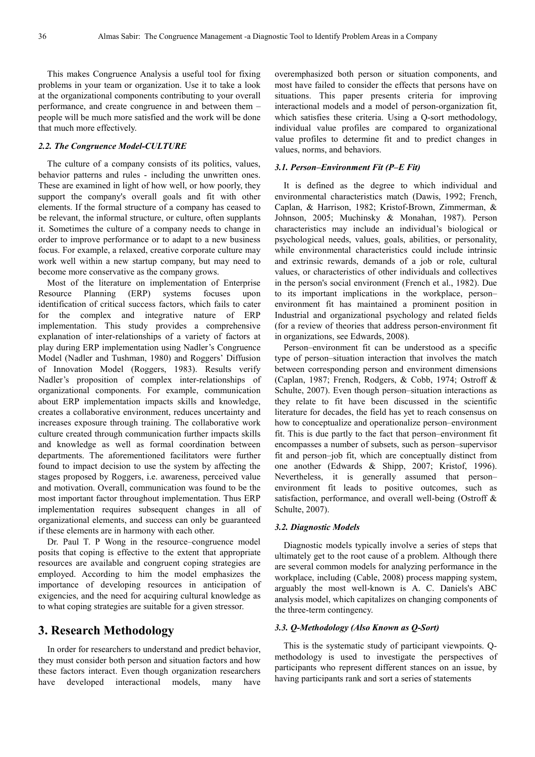This makes Congruence Analysis a useful tool for fixing problems in your team or organization. Use it to take a look at the organizational components contributing to your overall performance, and create congruence in and between them – people will be much more satisfied and the work will be done that much more effectively.

#### *2.2. The Congruence Model-CULTURE*

The culture of a company consists of its politics, values, behavior patterns and rules - including the unwritten ones. These are examined in light of how well, or how poorly, they support the company's overall goals and fit with other elements. If the formal structure of a company has ceased to be relevant, the informal structure, or culture, often supplants it. Sometimes the culture of a company needs to change in order to improve performance or to adapt to a new business focus. For example, a relaxed, creative corporate culture may work well within a new startup company, but may need to become more conservative as the company grows.

Most of the literature on implementation of Enterprise Resource Planning (ERP) systems focuses upon identification of critical success factors, which fails to cater for the complex and integrative nature of ERP implementation. This study provides a comprehensive explanation of inter-relationships of a variety of factors at play during ERP implementation using Nadler's Congruence Model (Nadler and Tushman, 1980) and Roggers' Diffusion of Innovation Model (Roggers, 1983). Results verify Nadler's proposition of complex inter-relationships of organizational components. For example, communication about ERP implementation impacts skills and knowledge, creates a collaborative environment, reduces uncertainty and increases exposure through training. The collaborative work culture created through communication further impacts skills and knowledge as well as formal coordination between departments. The aforementioned facilitators were further found to impact decision to use the system by affecting the stages proposed by Roggers, i.e. awareness, perceived value and motivation. Overall, communication was found to be the most important factor throughout implementation. Thus ERP implementation requires subsequent changes in all of organizational elements, and success can only be guaranteed if these elements are in harmony with each other.

Dr. Paul T. P Wong in the resource–congruence model posits that coping is effective to the extent that appropriate resources are available and congruent coping strategies are employed. According to him the model emphasizes the importance of developing resources in anticipation of exigencies, and the need for acquiring cultural knowledge as to what coping strategies are suitable for a given stressor.

## **3. Research Methodology**

In order for researchers to understand and predict behavior, they must consider both person and situation factors and how these factors interact. Even though organization researchers have developed interactional models, many have overemphasized both person or situation components, and most have failed to consider the effects that persons have on situations. This paper presents criteria for improving interactional models and a model of person-organization fit, which satisfies these criteria. Using a Q-sort methodology, individual value profiles are compared to organizational value profiles to determine fit and to predict changes in values, norms, and behaviors.

#### *3.1. Person–Environment Fit (P–E Fit)*

It is defined as the degree to which individual and environmental characteristics match (Dawis, 1992; French, Caplan, & Harrison, 1982; Kristof-Brown, Zimmerman, & Johnson, 2005; Muchinsky & Monahan, 1987). Person characteristics may include an individual's biological or psychological needs, values, goals, abilities, or personality, while environmental characteristics could include intrinsic and extrinsic rewards, demands of a job or role, cultural values, or characteristics of other individuals and collectives in the person's social environment (French et al., 1982). Due to its important implications in the workplace, person– environment fit has maintained a prominent position in Industrial and organizational psychology and related fields (for a review of theories that address person-environment fit in organizations, see Edwards, 2008).

Person–environment fit can be understood as a specific type of person–situation interaction that involves the match between corresponding person and environment dimensions (Caplan, 1987; French, Rodgers, & Cobb, 1974; Ostroff & Schulte, 2007). Even though person–situation interactions as they relate to fit have been discussed in the scientific literature for decades, the field has yet to reach consensus on how to conceptualize and operationalize person–environment fit. This is due partly to the fact that person–environment fit encompasses a number of subsets, such as person–supervisor fit and person–job fit, which are conceptually distinct from one another (Edwards & Shipp, 2007; Kristof, 1996). Nevertheless, it is generally assumed that person– environment fit leads to positive outcomes, such as satisfaction, performance, and overall well-being (Ostroff & Schulte, 2007).

#### *3.2. Diagnostic Models*

Diagnostic models typically involve a series of steps that ultimately get to the root cause of a problem. Although there are several common models for analyzing performance in the workplace, including (Cable, 2008) process mapping system, arguably the most well-known is A. C. Daniels's ABC analysis model, which capitalizes on changing components of the three-term contingency.

#### *3.3. Q-Methodology (Also Known as Q-Sort)*

This is the systematic study of participant viewpoints. Qmethodology is used to investigate the perspectives of participants who represent different stances on an issue, by having participants rank and sort a series of statements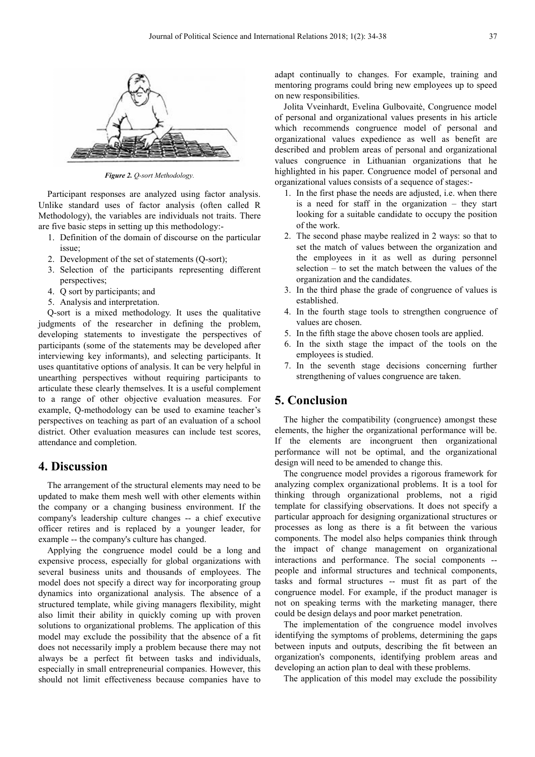

*Figure 2. Q-sort Methodology.* 

Participant responses are analyzed using factor analysis. Unlike standard uses of factor analysis (often called R Methodology), the variables are individuals not traits. There are five basic steps in setting up this methodology:-

- 1. Definition of the domain of discourse on the particular issue;
- 2. Development of the set of statements (Q-sort);
- 3. Selection of the participants representing different perspectives;
- 4. Q sort by participants; and
- 5. Analysis and interpretation.

Q-sort is a mixed methodology. It uses the qualitative judgments of the researcher in defining the problem, developing statements to investigate the perspectives of participants (some of the statements may be developed after interviewing key informants), and selecting participants. It uses quantitative options of analysis. It can be very helpful in unearthing perspectives without requiring participants to articulate these clearly themselves. It is a useful complement to a range of other objective evaluation measures. For example, Q-methodology can be used to examine teacher's perspectives on teaching as part of an evaluation of a school district. Other evaluation measures can include test scores, attendance and completion.

## **4. Discussion**

The arrangement of the structural elements may need to be updated to make them mesh well with other elements within the company or a changing business environment. If the company's leadership culture changes -- a chief executive officer retires and is replaced by a younger leader, for example -- the company's culture has changed.

Applying the congruence model could be a long and expensive process, especially for global organizations with several business units and thousands of employees. The model does not specify a direct way for incorporating group dynamics into organizational analysis. The absence of a structured template, while giving managers flexibility, might also limit their ability in quickly coming up with proven solutions to organizational problems. The application of this model may exclude the possibility that the absence of a fit does not necessarily imply a problem because there may not always be a perfect fit between tasks and individuals, especially in small entrepreneurial companies. However, this should not limit effectiveness because companies have to

adapt continually to changes. For example, training and mentoring programs could bring new employees up to speed on new responsibilities.

Jolita Vveinhardt, Evelina Gulbovaitė, Congruence model of personal and organizational values presents in his article which recommends congruence model of personal and organizational values expedience as well as benefit are described and problem areas of personal and organizational values congruence in Lithuanian organizations that he highlighted in his paper. Congruence model of personal and organizational values consists of a sequence of stages:-

- 1. In the first phase the needs are adjusted, i.e. when there is a need for staff in the organization – they start looking for a suitable candidate to occupy the position of the work.
- 2. The second phase maybe realized in 2 ways: so that to set the match of values between the organization and the employees in it as well as during personnel selection – to set the match between the values of the organization and the candidates.
- 3. In the third phase the grade of congruence of values is established.
- 4. In the fourth stage tools to strengthen congruence of values are chosen.
- 5. In the fifth stage the above chosen tools are applied.
- 6. In the sixth stage the impact of the tools on the employees is studied.
- 7. In the seventh stage decisions concerning further strengthening of values congruence are taken.

## **5. Conclusion**

The higher the compatibility (congruence) amongst these elements, the higher the organizational performance will be. If the elements are incongruent then organizational performance will not be optimal, and the organizational design will need to be amended to change this.

The congruence model provides a rigorous framework for analyzing complex organizational problems. It is a tool for thinking through organizational problems, not a rigid template for classifying observations. It does not specify a particular approach for designing organizational structures or processes as long as there is a fit between the various components. The model also helps companies think through the impact of change management on organizational interactions and performance. The social components - people and informal structures and technical components, tasks and formal structures -- must fit as part of the congruence model. For example, if the product manager is not on speaking terms with the marketing manager, there could be design delays and poor market penetration.

The implementation of the congruence model involves identifying the symptoms of problems, determining the gaps between inputs and outputs, describing the fit between an organization's components, identifying problem areas and developing an action plan to deal with these problems.

The application of this model may exclude the possibility